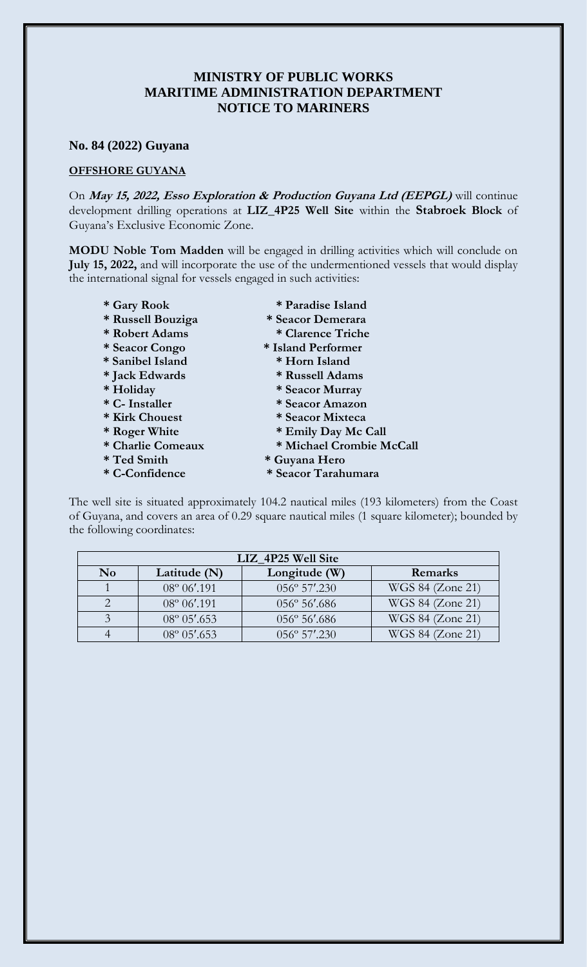## **MINISTRY OF PUBLIC WORKS MARITIME ADMINISTRATION DEPARTMENT NOTICE TO MARINERS**

## **No. 84 (2022) Guyana**

## **OFFSHORE GUYANA**

On **May 15, 2022, Esso Exploration & Production Guyana Ltd (EEPGL)** will continue development drilling operations at **LIZ\_4P25 Well Site** within the **Stabroek Block** of Guyana's Exclusive Economic Zone.

**MODU Noble Tom Madden** will be engaged in drilling activities which will conclude on **July 15, 2022,** and will incorporate the use of the undermentioned vessels that would display the international signal for vessels engaged in such activities:

- **\* Gary Rook \* Paradise Island \* Russell Bouziga \* Seacor Demerara \* Robert Adams \* Clarence Triche \* Seacor Congo \* Island Performer \* Sanibel Island \* Horn Island** 
	-
- **\* Jack Edwards \* Russell Adams**
- **\* Holiday \* Seacor Murray**
- **\* C- Installer \* Seacor Amazon**
- **\* Kirk Chouest \* Seacor Mixteca**
- **\* Roger White \* Emily Day Mc Call**
- **\* Charlie Comeaux \* Michael Crombie McCall**
- **\* Ted Smith \* Guyana Hero**
- **\* C-Confidence \* Seacor Tarahumara**

The well site is situated approximately 104.2 nautical miles (193 kilometers) from the Coast of Guyana, and covers an area of 0.29 square nautical miles (1 square kilometer); bounded by the following coordinates:

| LIZ 4P25 Well Site |                       |                        |                  |
|--------------------|-----------------------|------------------------|------------------|
| N <sub>0</sub>     | Latitude (N)          | Longitude (W)          | Remarks          |
|                    | $08^{\circ} 06'$ .191 | $056^{\circ} 57'$ .230 | WGS 84 (Zone 21) |
|                    | $08^{\circ} 06'$ .191 | $056^{\circ} 56'$ .686 | WGS 84 (Zone 21) |
|                    | $08^{\circ} 05'$ .653 | $056^{\circ} 56'$ .686 | WGS 84 (Zone 21) |
|                    | $08^{\circ} 05'$ .653 | $0.56^\circ 57' .230$  | WGS 84 (Zone 21) |